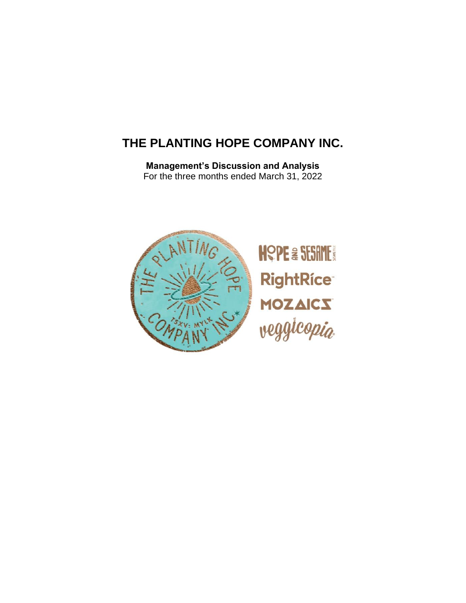# **THE PLANTING HOPE COMPANY INC.**

**Management's Discussion and Analysis** For the three months ended March 31, 2022

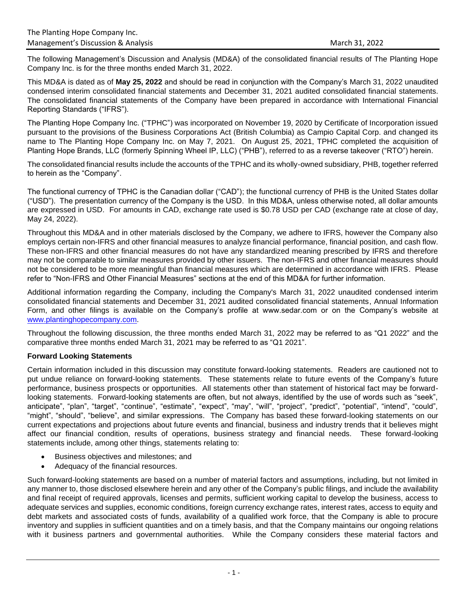The following Management's Discussion and Analysis (MD&A) of the consolidated financial results of The Planting Hope Company Inc. is for the three months ended March 31, 2022.

This MD&A is dated as of **May 25, 2022** and should be read in conjunction with the Company's March 31, 2022 unaudited condensed interim consolidated financial statements and December 31, 2021 audited consolidated financial statements. The consolidated financial statements of the Company have been prepared in accordance with International Financial Reporting Standards ("IFRS").

The Planting Hope Company Inc. ("TPHC") was incorporated on November 19, 2020 by Certificate of Incorporation issued pursuant to the provisions of the Business Corporations Act (British Columbia) as Campio Capital Corp. and changed its name to The Planting Hope Company Inc. on May 7, 2021. On August 25, 2021, TPHC completed the acquisition of Planting Hope Brands, LLC (formerly Spinning Wheel IP, LLC) ("PHB"), referred to as a reverse takeover ("RTO") herein.

The consolidated financial results include the accounts of the TPHC and its wholly-owned subsidiary, PHB, together referred to herein as the "Company".

The functional currency of TPHC is the Canadian dollar ("CAD"); the functional currency of PHB is the United States dollar ("USD"). The presentation currency of the Company is the USD. In this MD&A, unless otherwise noted, all dollar amounts are expressed in USD. For amounts in CAD, exchange rate used is \$0.78 USD per CAD (exchange rate at close of day, May 24, 2022).

Throughout this MD&A and in other materials disclosed by the Company, we adhere to IFRS, however the Company also employs certain non-IFRS and other financial measures to analyze financial performance, financial position, and cash flow. These non-IFRS and other financial measures do not have any standardized meaning prescribed by IFRS and therefore may not be comparable to similar measures provided by other issuers. The non-IFRS and other financial measures should not be considered to be more meaningful than financial measures which are determined in accordance with IFRS. Please refer to "Non-IFRS and Other Financial Measures" sections at the end of this MD&A for further information.

Additional information regarding the Company, including the Company's March 31, 2022 unaudited condensed interim consolidated financial statements and December 31, 2021 audited consolidated financial statements, Annual Information Form, and other filings is available on the Company's profile at www.sedar.com or on the Company's website at [www.plantinghopecompany.com.](http://www.plantinghopecompany.com/)

Throughout the following discussion, the three months ended March 31, 2022 may be referred to as "Q1 2022" and the comparative three months ended March 31, 2021 may be referred to as "Q1 2021".

## **Forward Looking Statements**

Certain information included in this discussion may constitute forward-looking statements. Readers are cautioned not to put undue reliance on forward-looking statements. These statements relate to future events of the Company's future performance, business prospects or opportunities. All statements other than statement of historical fact may be forwardlooking statements. Forward-looking statements are often, but not always, identified by the use of words such as "seek", anticipate", "plan", "target", "continue", "estimate", "expect", "may", "will", "project", "predict", "potential", "intend", "could", "might", "should", "believe", and similar expressions. The Company has based these forward-looking statements on our current expectations and projections about future events and financial, business and industry trends that it believes might affect our financial condition, results of operations, business strategy and financial needs. These forward-looking statements include, among other things, statements relating to:

- Business objectives and milestones; and
- Adequacy of the financial resources.

Such forward-looking statements are based on a number of material factors and assumptions, including, but not limited in any manner to, those disclosed elsewhere herein and any other of the Company's public filings, and include the availability and final receipt of required approvals, licenses and permits, sufficient working capital to develop the business, access to adequate services and supplies, economic conditions, foreign currency exchange rates, interest rates, access to equity and debt markets and associated costs of funds, availability of a qualified work force, that the Company is able to procure inventory and supplies in sufficient quantities and on a timely basis, and that the Company maintains our ongoing relations with it business partners and governmental authorities. While the Company considers these material factors and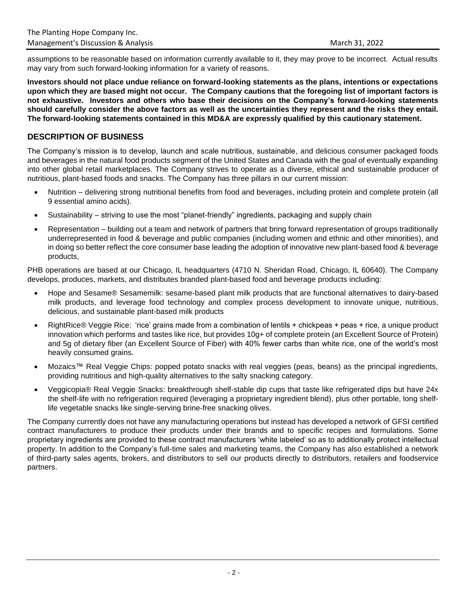assumptions to be reasonable based on information currently available to it, they may prove to be incorrect. Actual results may vary from such forward-looking information for a variety of reasons.

**Investors should not place undue reliance on forward-looking statements as the plans, intentions or expectations upon which they are based might not occur. The Company cautions that the foregoing list of important factors is not exhaustive. Investors and others who base their decisions on the Company's forward-looking statements should carefully consider the above factors as well as the uncertainties they represent and the risks they entail. The forward-looking statements contained in this MD&A are expressly qualified by this cautionary statement.** 

# **DESCRIPTION OF BUSINESS**

The Company's mission is to develop, launch and scale nutritious, sustainable, and delicious consumer packaged foods and beverages in the natural food products segment of the United States and Canada with the goal of eventually expanding into other global retail marketplaces. The Company strives to operate as a diverse, ethical and sustainable producer of nutritious, plant-based foods and snacks. The Company has three pillars in our current mission:

- Nutrition delivering strong nutritional benefits from food and beverages, including protein and complete protein (all 9 essential amino acids).
- Sustainability striving to use the most "planet-friendly" ingredients, packaging and supply chain
- Representation building out a team and network of partners that bring forward representation of groups traditionally underrepresented in food & beverage and public companies (including women and ethnic and other minorities), and in doing so better reflect the core consumer base leading the adoption of innovative new plant-based food & beverage products,

PHB operations are based at our Chicago, IL headquarters (4710 N. Sheridan Road, Chicago, IL 60640). The Company develops, produces, markets, and distributes branded plant-based food and beverage products including:

- Hope and Sesame® Sesamemilk: sesame-based plant milk products that are functional alternatives to dairy-based milk products, and leverage food technology and complex process development to innovate unique, nutritious, delicious, and sustainable plant-based milk products
- RightRice® Veggie Rice: 'rice' grains made from a combination of lentils + chickpeas + peas + rice, a unique product innovation which performs and tastes like rice, but provides 10g+ of complete protein (an Excellent Source of Protein) and 5g of dietary fiber (an Excellent Source of Fiber) with 40% fewer carbs than white rice, one of the world's most heavily consumed grains.
- Mozaics™ Real Veggie Chips: popped potato snacks with real veggies (peas, beans) as the principal ingredients, providing nutritious and high-quality alternatives to the salty snacking category.
- Veggicopia® Real Veggie Snacks: breakthrough shelf-stable dip cups that taste like refrigerated dips but have 24x the shelf-life with no refrigeration required (leveraging a proprietary ingredient blend), plus other portable, long shelflife vegetable snacks like single-serving brine-free snacking olives.

The Company currently does not have any manufacturing operations but instead has developed a network of GFSI certified contract manufacturers to produce their products under their brands and to specific recipes and formulations. Some proprietary ingredients are provided to these contract manufacturers 'white labeled' so as to additionally protect intellectual property. In addition to the Company's full-time sales and marketing teams, the Company has also established a network of third-party sales agents, brokers, and distributors to sell our products directly to distributors, retailers and foodservice partners.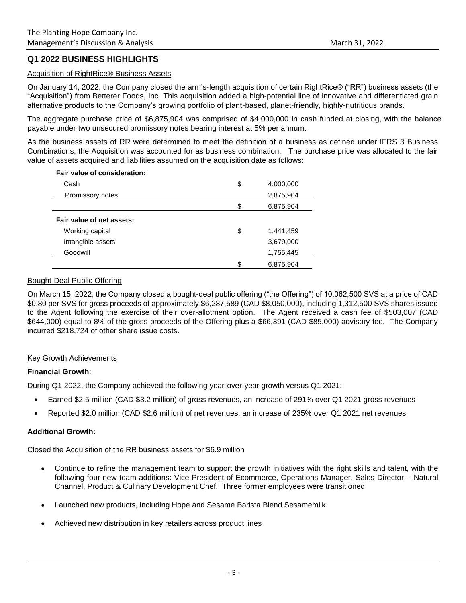# **Q1 2022 BUSINESS HIGHLIGHTS**

#### Acquisition of RightRice® Business Assets

On January 14, 2022, the Company closed the arm's-length acquisition of certain RightRice® ("RR") business assets (the "Acquisition") from Betterer Foods, Inc. This acquisition added a high-potential line of innovative and differentiated grain alternative products to the Company's growing portfolio of plant-based, planet-friendly, highly-nutritious brands.

The aggregate purchase price of \$6,875,904 was comprised of \$4,000,000 in cash funded at closing, with the balance payable under two unsecured promissory notes bearing interest at 5% per annum.

As the business assets of RR were determined to meet the definition of a business as defined under IFRS 3 Business Combinations, the Acquisition was accounted for as business combination. The purchase price was allocated to the fair value of assets acquired and liabilities assumed on the acquisition date as follows:

| Fair value of consideration: |     |           |
|------------------------------|-----|-----------|
| Cash                         | \$  | 4,000,000 |
| Promissory notes             |     | 2,875,904 |
|                              | \$. | 6,875,904 |
| Fair value of net assets:    |     |           |
| Working capital              | \$  | 1,441,459 |
| Intangible assets            |     | 3,679,000 |
| Goodwill                     |     | 1,755,445 |
|                              |     | 6,875,904 |

#### Bought-Deal Public Offering

On March 15, 2022, the Company closed a bought-deal public offering ("the Offering") of 10,062,500 SVS at a price of CAD \$0.80 per SVS for gross proceeds of approximately \$6,287,589 (CAD \$8,050,000), including 1,312,500 SVS shares issued to the Agent following the exercise of their over-allotment option. The Agent received a cash fee of \$503,007 (CAD \$644,000) equal to 8% of the gross proceeds of the Offering plus a \$66,391 (CAD \$85,000) advisory fee. The Company incurred \$218,724 of other share issue costs.

#### Key Growth Achievements

#### **Financial Growth**:

During Q1 2022, the Company achieved the following year-over-year growth versus Q1 2021:

- Earned \$2.5 million (CAD \$3.2 million) of gross revenues, an increase of 291% over Q1 2021 gross revenues
- Reported \$2.0 million (CAD \$2.6 million) of net revenues, an increase of 235% over Q1 2021 net revenues

#### **Additional Growth:**

Closed the Acquisition of the RR business assets for \$6.9 million

- Continue to refine the management team to support the growth initiatives with the right skills and talent, with the following four new team additions: Vice President of Ecommerce, Operations Manager, Sales Director – Natural Channel, Product & Culinary Development Chef. Three former employees were transitioned.
- Launched new products, including Hope and Sesame Barista Blend Sesamemilk
- Achieved new distribution in key retailers across product lines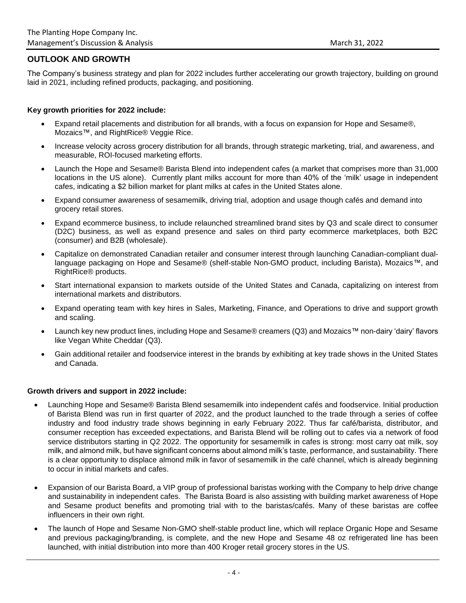# **OUTLOOK AND GROWTH**

The Company's business strategy and plan for 2022 includes further accelerating our growth trajectory, building on ground laid in 2021, including refined products, packaging, and positioning.

#### **Key growth priorities for 2022 include:**

- Expand retail placements and distribution for all brands, with a focus on expansion for Hope and Sesame®, Mozaics™, and RightRice® Veggie Rice.
- Increase velocity across grocery distribution for all brands, through strategic marketing, trial, and awareness, and measurable, ROI-focused marketing efforts.
- Launch the Hope and Sesame® Barista Blend into independent cafes (a market that comprises more than 31,000 locations in the US alone). Currently plant milks account for more than 40% of the 'milk' usage in independent cafes, indicating a \$2 billion market for plant milks at cafes in the United States alone.
- Expand consumer awareness of sesamemilk, driving trial, adoption and usage though cafés and demand into grocery retail stores.
- Expand ecommerce business, to include relaunched streamlined brand sites by Q3 and scale direct to consumer (D2C) business, as well as expand presence and sales on third party ecommerce marketplaces, both B2C (consumer) and B2B (wholesale).
- Capitalize on demonstrated Canadian retailer and consumer interest through launching Canadian-compliant duallanguage packaging on Hope and Sesame® (shelf-stable Non-GMO product, including Barista), Mozaics™, and RightRice® products.
- Start international expansion to markets outside of the United States and Canada, capitalizing on interest from international markets and distributors.
- Expand operating team with key hires in Sales, Marketing, Finance, and Operations to drive and support growth and scaling.
- Launch key new product lines, including Hope and Sesame® creamers (Q3) and Mozaics™ non-dairy 'dairy' flavors like Vegan White Cheddar (Q3).
- Gain additional retailer and foodservice interest in the brands by exhibiting at key trade shows in the United States and Canada.

#### **Growth drivers and support in 2022 include:**

- Launching Hope and Sesame® Barista Blend sesamemilk into independent cafés and foodservice. Initial production of Barista Blend was run in first quarter of 2022, and the product launched to the trade through a series of coffee industry and food industry trade shows beginning in early February 2022. Thus far café/barista, distributor, and consumer reception has exceeded expectations, and Barista Blend will be rolling out to cafes via a network of food service distributors starting in Q2 2022. The opportunity for sesamemilk in cafes is strong: most carry oat milk, soy milk, and almond milk, but have significant concerns about almond milk's taste, performance, and sustainability. There is a clear opportunity to displace almond milk in favor of sesamemilk in the café channel, which is already beginning to occur in initial markets and cafes.
- Expansion of our Barista Board, a VIP group of professional baristas working with the Company to help drive change and sustainability in independent cafes. The Barista Board is also assisting with building market awareness of Hope and Sesame product benefits and promoting trial with to the baristas/cafés. Many of these baristas are coffee influencers in their own right.
- The launch of Hope and Sesame Non-GMO shelf-stable product line, which will replace Organic Hope and Sesame and previous packaging/branding, is complete, and the new Hope and Sesame 48 oz refrigerated line has been launched, with initial distribution into more than 400 Kroger retail grocery stores in the US.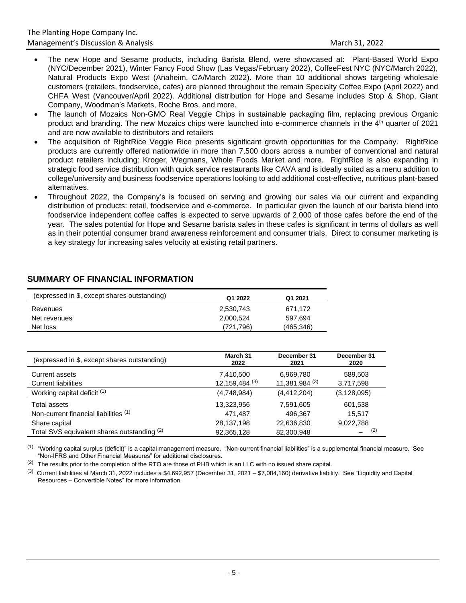- The new Hope and Sesame products, including Barista Blend, were showcased at: Plant-Based World Expo (NYC/December 2021), Winter Fancy Food Show (Las Vegas/February 2022), CoffeeFest NYC (NYC/March 2022), Natural Products Expo West (Anaheim, CA/March 2022). More than 10 additional shows targeting wholesale customers (retailers, foodservice, cafes) are planned throughout the remain Specialty Coffee Expo (April 2022) and CHFA West (Vancouver/April 2022). Additional distribution for Hope and Sesame includes Stop & Shop, Giant Company, Woodman's Markets, Roche Bros, and more.
- The launch of Mozaics Non-GMO Real Veggie Chips in sustainable packaging film, replacing previous Organic product and branding. The new Mozaics chips were launched into e-commerce channels in the 4th quarter of 2021 and are now available to distributors and retailers
- The acquisition of RightRice Veggie Rice presents significant growth opportunities for the Company. RightRice products are currently offered nationwide in more than 7,500 doors across a number of conventional and natural product retailers including: Kroger, Wegmans, Whole Foods Market and more. RightRice is also expanding in strategic food service distribution with quick service restaurants like CAVA and is ideally suited as a menu addition to college/university and business foodservice operations looking to add additional cost-effective, nutritious plant-based alternatives.
- Throughout 2022, the Company's is focused on serving and growing our sales via our current and expanding distribution of products: retail, foodservice and e-commerce. In particular given the launch of our barista blend into foodservice independent coffee caffes is expected to serve upwards of 2,000 of those cafes before the end of the year. The sales potential for Hope and Sesame barista sales in these cafes is significant in terms of dollars as well as in their potential consumer brand awareness reinforcement and consumer trials. Direct to consumer marketing is a key strategy for increasing sales velocity at existing retail partners.

| (expressed in \$, except shares outstanding) | Q1 2022   | Q1 2021   |
|----------------------------------------------|-----------|-----------|
| Revenues                                     | 2,530,743 | 671,172   |
| Net revenues                                 | 2,000,524 | 597,694   |
| Net loss                                     | (721.796) | (465,346) |

# **SUMMARY OF FINANCIAL INFORMATION**

| (expressed in \$, except shares outstanding) | March 31<br>2022   | December 31<br>2021 | December 31<br>2020 |
|----------------------------------------------|--------------------|---------------------|---------------------|
| Current assets                               | 7,410,500          | 6,969,780           | 589,503             |
| <b>Current liabilities</b>                   | $12,159,484^{(3)}$ | 11,381,984 (3)      | 3,717,598           |
| Working capital deficit (1)                  | (4,748,984)        | (4, 412, 204)       | (3, 128, 095)       |
| Total assets                                 | 13,323,956         | 7,591,605           | 601,538             |
| Non-current financial liabilities (1)        | 471,487            | 496,367             | 15.517              |
| Share capital                                | 28,137,198         | 22,636,830          | 9,022,788           |
| Total SVS equivalent shares outstanding (2)  | 92,365,128         | 82,300,948          | (2)                 |

 $^{(1)}$  "Working capital surplus (deficit)" is a capital management measure. "Non-current financial liabilities" is a supplemental financial measure. See "Non-IFRS and Other Financial Measures" for additional disclosures.

 $(2)$  The results prior to the completion of the RTO are those of PHB which is an LLC with no issued share capital.

 $^{(3)}$  Current liabilities at March 31, 2022 includes a \$4,692,957 (December 31, 2021 – \$7,084,160) derivative liability. See "Liquidity and Capital Resources – Convertible Notes" for more information.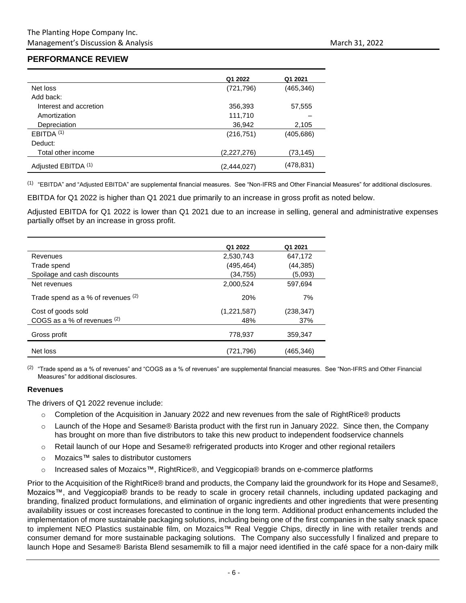# **PERFORMANCE REVIEW**

|                        | Q1 2022     | Q1 2021    |
|------------------------|-------------|------------|
| Net loss               | (721, 796)  | (465, 346) |
| Add back:              |             |            |
| Interest and accretion | 356,393     | 57,555     |
| Amortization           | 111,710     |            |
| Depreciation           | 36,942      | 2,105      |
| EBITDA <sup>(1)</sup>  | (216, 751)  | (405, 686) |
| Deduct:                |             |            |
| Total other income     | (2,227,276) | (73, 145)  |
| Adjusted EBITDA (1)    | (2,444,027) | (478, 831) |

 $^{(1)}$  "EBITDA" and "Adjusted EBITDA" are supplemental financial measures. See "Non-IFRS and Other Financial Measures" for additional disclosures.

EBITDA for Q1 2022 is higher than Q1 2021 due primarily to an increase in gross profit as noted below.

Adjusted EBITDA for Q1 2022 is lower than Q1 2021 due to an increase in selling, general and administrative expenses partially offset by an increase in gross profit.

|                                    | Q1 2022     | Q1 2021    |
|------------------------------------|-------------|------------|
| Revenues                           | 2,530,743   | 647,172    |
| Trade spend                        | (495, 464)  | (44, 385)  |
| Spoilage and cash discounts        | (34,755)    | (5,093)    |
| Net revenues                       | 2,000,524   | 597,694    |
| Trade spend as a % of revenues (2) | 20%         | 7%         |
| Cost of goods sold                 | (1,221,587) | (238, 347) |
| COGS as a % of revenues (2)        | 48%         | 37%        |
| Gross profit                       | 778.937     | 359,347    |
| Net loss                           | (721,796)   | (465,346)  |

 $^{(2)}$  "Trade spend as a % of revenues" and "COGS as a % of revenues" are supplemental financial measures. See "Non-IFRS and Other Financial Measures" for additional disclosures.

#### **Revenues**

The drivers of Q1 2022 revenue include:

- o Completion of the Acquisition in January 2022 and new revenues from the sale of RightRice® products
- o Launch of the Hope and Sesame® Barista product with the first run in January 2022. Since then, the Company has brought on more than five distributors to take this new product to independent foodservice channels
- o Retail launch of our Hope and Sesame® refrigerated products into Kroger and other regional retailers
- o Mozaics™ sales to distributor customers
- o Increased sales of Mozaics™, RightRice®, and Veggicopia® brands on e-commerce platforms

Prior to the Acquisition of the RightRice® brand and products, the Company laid the groundwork for its Hope and Sesame®, Mozaics™, and Veggicopia® brands to be ready to scale in grocery retail channels, including updated packaging and branding, finalized product formulations, and elimination of organic ingredients and other ingredients that were presenting availability issues or cost increases forecasted to continue in the long term. Additional product enhancements included the implementation of more sustainable packaging solutions, including being one of the first companies in the salty snack space to implement NEO Plastics sustainable film, on Mozaics™ Real Veggie Chips, directly in line with retailer trends and consumer demand for more sustainable packaging solutions. The Company also successfully l finalized and prepare to launch Hope and Sesame® Barista Blend sesamemilk to fill a major need identified in the café space for a non-dairy milk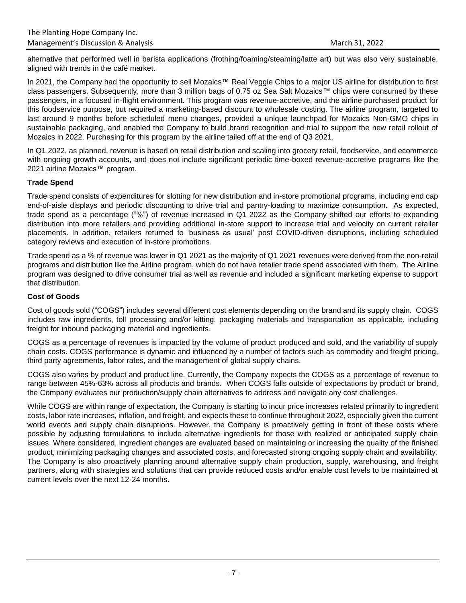alternative that performed well in barista applications (frothing/foaming/steaming/latte art) but was also very sustainable, aligned with trends in the café market.

In 2021, the Company had the opportunity to sell Mozaics™ Real Veggie Chips to a major US airline for distribution to first class passengers. Subsequently, more than 3 million bags of 0.75 oz Sea Salt Mozaics™ chips were consumed by these passengers, in a focused in-flight environment. This program was revenue-accretive, and the airline purchased product for this foodservice purpose, but required a marketing-based discount to wholesale costing. The airline program, targeted to last around 9 months before scheduled menu changes, provided a unique launchpad for Mozaics Non-GMO chips in sustainable packaging, and enabled the Company to build brand recognition and trial to support the new retail rollout of Mozaics in 2022. Purchasing for this program by the airline tailed off at the end of Q3 2021.

In Q1 2022, as planned, revenue is based on retail distribution and scaling into grocery retail, foodservice, and ecommerce with ongoing growth accounts, and does not include significant periodic time-boxed revenue-accretive programs like the 2021 airline Mozaics™ program.

# **Trade Spend**

Trade spend consists of expenditures for slotting for new distribution and in-store promotional programs, including end cap end-of-aisle displays and periodic discounting to drive trial and pantry-loading to maximize consumption. As expected, trade spend as a percentage ("%") of revenue increased in Q1 2022 as the Company shifted our efforts to expanding distribution into more retailers and providing additional in-store support to increase trial and velocity on current retailer placements. In addition, retailers returned to 'business as usual' post COVID-driven disruptions, including scheduled category reviews and execution of in-store promotions.

Trade spend as a % of revenue was lower in Q1 2021 as the majority of Q1 2021 revenues were derived from the non-retail programs and distribution like the Airline program, which do not have retailer trade spend associated with them. The Airline program was designed to drive consumer trial as well as revenue and included a significant marketing expense to support that distribution.

# **Cost of Goods**

Cost of goods sold ("COGS") includes several different cost elements depending on the brand and its supply chain. COGS includes raw ingredients, toll processing and/or kitting, packaging materials and transportation as applicable, including freight for inbound packaging material and ingredients.

COGS as a percentage of revenues is impacted by the volume of product produced and sold, and the variability of supply chain costs. COGS performance is dynamic and influenced by a number of factors such as commodity and freight pricing, third party agreements, labor rates, and the management of global supply chains.

COGS also varies by product and product line. Currently, the Company expects the COGS as a percentage of revenue to range between 45%-63% across all products and brands. When COGS falls outside of expectations by product or brand, the Company evaluates our production/supply chain alternatives to address and navigate any cost challenges.

While COGS are within range of expectation, the Company is starting to incur price increases related primarily to ingredient costs, labor rate increases, inflation, and freight, and expects these to continue throughout 2022, especially given the current world events and supply chain disruptions. However, the Company is proactively getting in front of these costs where possible by adjusting formulations to include alternative ingredients for those with realized or anticipated supply chain issues. Where considered, ingredient changes are evaluated based on maintaining or increasing the quality of the finished product, minimizing packaging changes and associated costs, and forecasted strong ongoing supply chain and availability. The Company is also proactively planning around alternative supply chain production, supply, warehousing, and freight partners, along with strategies and solutions that can provide reduced costs and/or enable cost levels to be maintained at current levels over the next 12-24 months.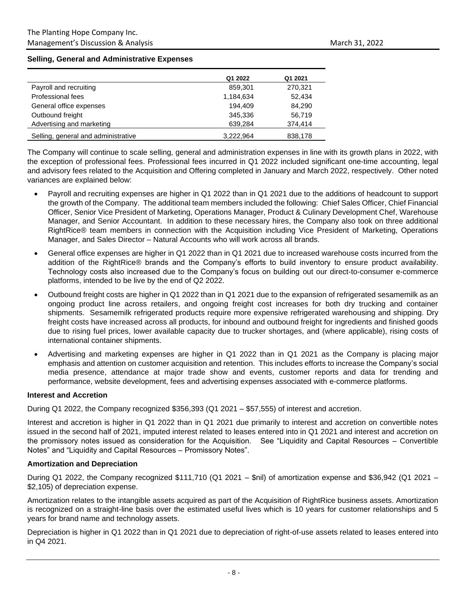#### **Selling, General and Administrative Expenses**

|                                     | Q1 2022   | Q1 2021 |
|-------------------------------------|-----------|---------|
| Payroll and recruiting              | 859.301   | 270,321 |
| Professional fees                   | 1,184,634 | 52,434  |
| General office expenses             | 194.409   | 84,290  |
| Outbound freight                    | 345.336   | 56,719  |
| Advertising and marketing           | 639,284   | 374,414 |
| Selling, general and administrative | 3,222,964 | 838,178 |

The Company will continue to scale selling, general and administration expenses in line with its growth plans in 2022, with the exception of professional fees. Professional fees incurred in Q1 2022 included significant one-time accounting, legal and advisory fees related to the Acquisition and Offering completed in January and March 2022, respectively. Other noted variances are explained below:

- Payroll and recruiting expenses are higher in Q1 2022 than in Q1 2021 due to the additions of headcount to support the growth of the Company. The additional team members included the following: Chief Sales Officer, Chief Financial Officer, Senior Vice President of Marketing, Operations Manager, Product & Culinary Development Chef, Warehouse Manager, and Senior Accountant. In addition to these necessary hires, the Company also took on three additional RightRice® team members in connection with the Acquisition including Vice President of Marketing, Operations Manager, and Sales Director – Natural Accounts who will work across all brands.
- General office expenses are higher in Q1 2022 than in Q1 2021 due to increased warehouse costs incurred from the addition of the RightRice® brands and the Company's efforts to build inventory to ensure product availability. Technology costs also increased due to the Company's focus on building out our direct-to-consumer e-commerce platforms, intended to be live by the end of Q2 2022.
- Outbound freight costs are higher in Q1 2022 than in Q1 2021 due to the expansion of refrigerated sesamemilk as an ongoing product line across retailers, and ongoing freight cost increases for both dry trucking and container shipments. Sesamemilk refrigerated products require more expensive refrigerated warehousing and shipping. Dry freight costs have increased across all products, for inbound and outbound freight for ingredients and finished goods due to rising fuel prices, lower available capacity due to trucker shortages, and (where applicable), rising costs of international container shipments.
- Advertising and marketing expenses are higher in Q1 2022 than in Q1 2021 as the Company is placing major emphasis and attention on customer acquisition and retention. This includes efforts to increase the Company's social media presence, attendance at major trade show and events, customer reports and data for trending and performance, website development, fees and advertising expenses associated with e-commerce platforms.

#### **Interest and Accretion**

During Q1 2022, the Company recognized \$356,393 (Q1 2021 – \$57,555) of interest and accretion.

Interest and accretion is higher in Q1 2022 than in Q1 2021 due primarily to interest and accretion on convertible notes issued in the second half of 2021, imputed interest related to leases entered into in Q1 2021 and interest and accretion on the promissory notes issued as consideration for the Acquisition. See "Liquidity and Capital Resources – Convertible Notes" and "Liquidity and Capital Resources – Promissory Notes".

#### **Amortization and Depreciation**

During Q1 2022, the Company recognized \$111,710 (Q1 2021 – \$nil) of amortization expense and \$36,942 (Q1 2021 – \$2,105) of depreciation expense.

Amortization relates to the intangible assets acquired as part of the Acquisition of RightRice business assets. Amortization is recognized on a straight-line basis over the estimated useful lives which is 10 years for customer relationships and 5 years for brand name and technology assets.

Depreciation is higher in Q1 2022 than in Q1 2021 due to depreciation of right-of-use assets related to leases entered into in Q4 2021.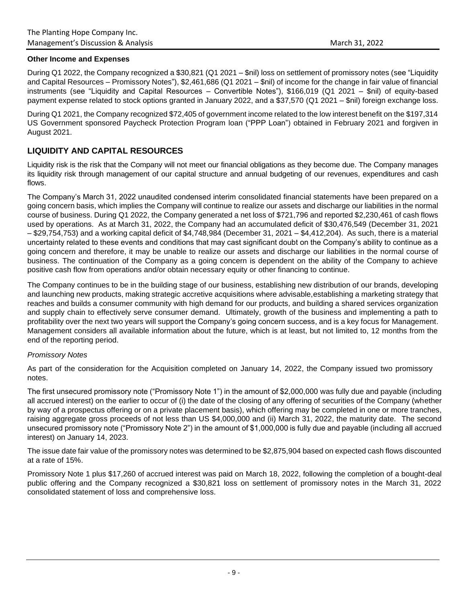## **Other Income and Expenses**

During Q1 2022, the Company recognized a \$30,821 (Q1 2021 – \$nil) loss on settlement of promissory notes (see "Liquidity and Capital Resources – Promissory Notes"), \$2,461,686 (Q1 2021 – \$nil) of income for the change in fair value of financial instruments (see "Liquidity and Capital Resources – Convertible Notes"), \$166,019 (Q1 2021 – \$nil) of equity-based payment expense related to stock options granted in January 2022, and a \$37,570 (Q1 2021 – \$nil) foreign exchange loss.

During Q1 2021, the Company recognized \$72,405 of government income related to the low interest benefit on the \$197,314 US Government sponsored Paycheck Protection Program loan ("PPP Loan") obtained in February 2021 and forgiven in August 2021.

# **LIQUIDITY AND CAPITAL RESOURCES**

Liquidity risk is the risk that the Company will not meet our financial obligations as they become due. The Company manages its liquidity risk through management of our capital structure and annual budgeting of our revenues, expenditures and cash flows.

The Company's March 31, 2022 unaudited condensed interim consolidated financial statements have been prepared on a going concern basis, which implies the Company will continue to realize our assets and discharge our liabilities in the normal course of business. During Q1 2022, the Company generated a net loss of \$721,796 and reported \$2,230,461 of cash flows used by operations. As at March 31, 2022, the Company had an accumulated deficit of \$30,476,549 (December 31, 2021 – \$29,754,753) and a working capital deficit of \$4,748,984 (December 31, 2021 – \$4,412,204). As such, there is a material uncertainty related to these events and conditions that may cast significant doubt on the Company's ability to continue as a going concern and therefore, it may be unable to realize our assets and discharge our liabilities in the normal course of business. The continuation of the Company as a going concern is dependent on the ability of the Company to achieve positive cash flow from operations and/or obtain necessary equity or other financing to continue.

The Company continues to be in the building stage of our business, establishing new distribution of our brands, developing and launching new products, making strategic accretive acquisitions where advisable,establishing a marketing strategy that reaches and builds a consumer community with high demand for our products, and building a shared services organization and supply chain to effectively serve consumer demand. Ultimately, growth of the business and implementing a path to profitability over the next two years will support the Company's going concern success, and is a key focus for Management. Management considers all available information about the future, which is at least, but not limited to, 12 months from the end of the reporting period.

## *Promissory Notes*

As part of the consideration for the Acquisition completed on January 14, 2022, the Company issued two promissory notes.

The first unsecured promissory note ("Promissory Note 1") in the amount of \$2,000,000 was fully due and payable (including all accrued interest) on the earlier to occur of (i) the date of the closing of any offering of securities of the Company (whether by way of a prospectus offering or on a private placement basis), which offering may be completed in one or more tranches, raising aggregate gross proceeds of not less than US \$4,000,000 and (ii) March 31, 2022, the maturity date. The second unsecured promissory note ("Promissory Note 2") in the amount of \$1,000,000 is fully due and payable (including all accrued interest) on January 14, 2023.

The issue date fair value of the promissory notes was determined to be \$2,875,904 based on expected cash flows discounted at a rate of 15%.

Promissory Note 1 plus \$17,260 of accrued interest was paid on March 18, 2022, following the completion of a bought-deal public offering and the Company recognized a \$30,821 loss on settlement of promissory notes in the March 31, 2022 consolidated statement of loss and comprehensive loss.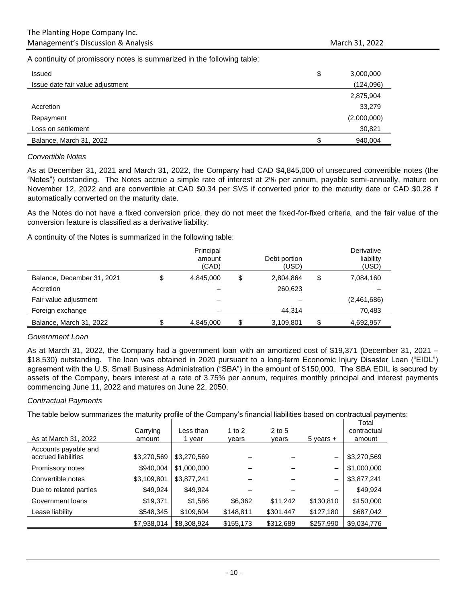A continuity of promissory notes is summarized in the following table:

| <b>Issued</b>                    | \$ | 3,000,000   |
|----------------------------------|----|-------------|
| Issue date fair value adjustment |    | (124,096)   |
|                                  |    | 2,875,904   |
| Accretion                        |    | 33,279      |
| Repayment                        |    | (2,000,000) |
| Loss on settlement               |    | 30,821      |
| Balance, March 31, 2022          | S  | 940,004     |

#### *Convertible Notes*

As at December 31, 2021 and March 31, 2022, the Company had CAD \$4,845,000 of unsecured convertible notes (the "Notes") outstanding. The Notes accrue a simple rate of interest at 2% per annum, payable semi-annually, mature on November 12, 2022 and are convertible at CAD \$0.34 per SVS if converted prior to the maturity date or CAD \$0.28 if automatically converted on the maturity date.

As the Notes do not have a fixed conversion price, they do not meet the fixed-for-fixed criteria, and the fair value of the conversion feature is classified as a derivative liability.

A continuity of the Notes is summarized in the following table:

|                            | Principal<br>amount<br>(CAD) | Debt portion<br>(USD) | Derivative<br>liability<br>(USD) |
|----------------------------|------------------------------|-----------------------|----------------------------------|
| Balance, December 31, 2021 | \$<br>4,845,000              | \$<br>2,804,864       | \$<br>7,084,160                  |
| Accretion                  |                              | 260,623               |                                  |
| Fair value adjustment      |                              |                       | (2,461,686)                      |
| Foreign exchange           |                              | 44,314                | 70,483                           |
| Balance, March 31, 2022    | 4,845,000                    | 3,109,801             | 4,692,957                        |

#### *Government Loan*

As at March 31, 2022, the Company had a government loan with an amortized cost of \$19,371 (December 31, 2021 – \$18,530) outstanding. The loan was obtained in 2020 pursuant to a long-term Economic Injury Disaster Loan ("EIDL") agreement with the U.S. Small Business Administration ("SBA") in the amount of \$150,000. The SBA EDIL is secured by assets of the Company, bears interest at a rate of 3.75% per annum, requires monthly principal and interest payments commencing June 11, 2022 and matures on June 22, 2050.

#### *Contractual Payments*

The table below summarizes the maturity profile of the Company's financial liabilities based on contractual payments:

| As at March 31, 2022                        | Carrying<br>amount | Less than<br>year | 1 to $2$<br>vears | $2$ to 5<br>vears | $5$ years $+$            | Total<br>contractual<br>amount |
|---------------------------------------------|--------------------|-------------------|-------------------|-------------------|--------------------------|--------------------------------|
| Accounts payable and<br>accrued liabilities | \$3,270,569        | \$3,270,569       |                   |                   | $\overline{\phantom{0}}$ | \$3,270,569                    |
| Promissory notes                            | \$940,004          | \$1,000,000       |                   |                   | -                        | \$1,000,000                    |
| Convertible notes                           | \$3,109,801        | \$3,877,241       |                   |                   | —                        | \$3,877,241                    |
| Due to related parties                      | \$49,924           | \$49,924          |                   |                   |                          | \$49,924                       |
| Government loans                            | \$19,371           | \$1,586           | \$6,362           | \$11,242          | \$130,810                | \$150,000                      |
| Lease liability                             | \$548,345          | \$109,604         | \$148,811         | \$301,447         | \$127,180                | \$687,042                      |
|                                             | \$7,938,014        | \$8,308,924       | \$155,173         | \$312,689         | \$257,990                | \$9,034,776                    |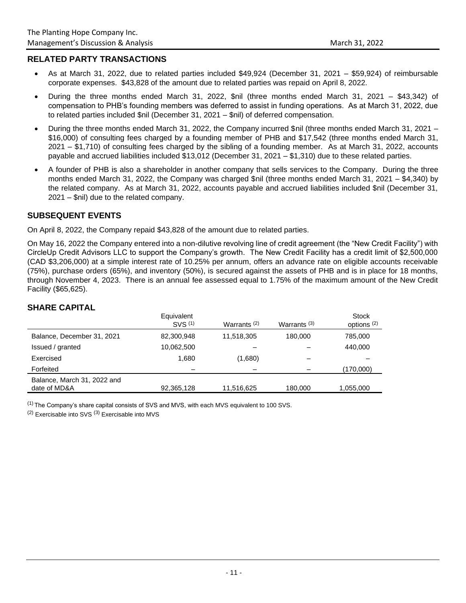# **RELATED PARTY TRANSACTIONS**

- As at March 31, 2022, due to related parties included \$49,924 (December 31, 2021 \$59,924) of reimbursable corporate expenses. \$43,828 of the amount due to related parties was repaid on April 8, 2022.
- During the three months ended March 31, 2022, \$nil (three months ended March 31, 2021 \$43,342) of compensation to PHB's founding members was deferred to assist in funding operations. As at March 31, 2022, due to related parties included \$nil (December 31, 2021 – \$nil) of deferred compensation.
- During the three months ended March 31, 2022, the Company incurred \$nil (three months ended March 31, 2021 \$16,000) of consulting fees charged by a founding member of PHB and \$17,542 (three months ended March 31, 2021 – \$1,710) of consulting fees charged by the sibling of a founding member. As at March 31, 2022, accounts payable and accrued liabilities included \$13,012 (December 31, 2021 – \$1,310) due to these related parties.
- A founder of PHB is also a shareholder in another company that sells services to the Company. During the three months ended March 31, 2022, the Company was charged \$nil (three months ended March 31, 2021 – \$4,340) by the related company. As at March 31, 2022, accounts payable and accrued liabilities included \$nil (December 31, 2021 – \$nil) due to the related company.

# **SUBSEQUENT EVENTS**

On April 8, 2022, the Company repaid \$43,828 of the amount due to related parties.

On May 16, 2022 the Company entered into a non-dilutive revolving line of credit agreement (the "New Credit Facility") with CircleUp Credit Advisors LLC to support the Company's growth. The New Credit Facility has a credit limit of \$2,500,000 (CAD \$3,206,000) at a simple interest rate of 10.25% per annum, offers an advance rate on eligible accounts receivable (75%), purchase orders (65%), and inventory (50%), is secured against the assets of PHB and is in place for 18 months, through November 4, 2023. There is an annual fee assessed equal to 1.75% of the maximum amount of the New Credit Facility (\$65,625).

|                                             | Equivalent<br>SVS (1) | Warrants $(2)$ | Warrants $(3)$ | Stock<br>options <sup>(2)</sup> |
|---------------------------------------------|-----------------------|----------------|----------------|---------------------------------|
| Balance, December 31, 2021                  | 82,300,948            | 11,518,305     | 180.000        | 785,000                         |
| Issued / granted                            | 10,062,500            |                |                | 440,000                         |
| Exercised                                   | 1.680                 | (1,680)        |                |                                 |
| Forfeited                                   |                       |                |                | (170,000)                       |
| Balance, March 31, 2022 and<br>date of MD&A | 92,365,128            | 11,516,625     | 180,000        | 1,055,000                       |

# **SHARE CAPITAL**

 $<sup>(1)</sup>$  The Company's share capital consists of SVS and MVS, with each MVS equivalent to 100 SVS.</sup>

(2) Exercisable into SVS (3) Exercisable into MVS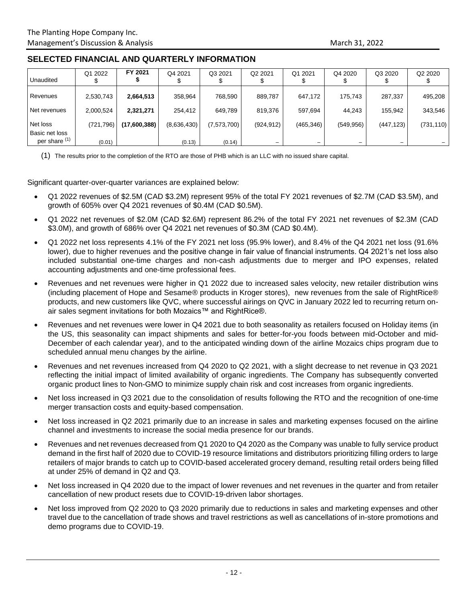# **SELECTED FINANCIAL AND QUARTERLY INFORMATION**

| Unaudited                  | Q1 2022    | FY 2021      | Q4 2021     | Q3 2021     | Q <sub>2</sub> 2021      | Q1 2021                  | Q4 2020    | Q3 2020                  | Q2 2020    |
|----------------------------|------------|--------------|-------------|-------------|--------------------------|--------------------------|------------|--------------------------|------------|
| Revenues                   | 2,530,743  | 2,664,513    | 358,964     | 768,590     | 889,787                  | 647,172                  | 175.743    | 287,337                  | 495,208    |
| Net revenues               | 2,000,524  | 2,321,271    | 254.412     | 649.789     | 819,376                  | 597,694                  | 44.243     | 155.942                  | 343,546    |
| Net loss<br>Basic net loss | (721, 796) | (17,600,388) | (8,636,430) | (7,573,700) | (924, 912)               | (465, 346)               | (549, 956) | (447, 123)               | (731, 110) |
| per share (1)              | (0.01)     |              | (0.13)      | (0.14)      | $\overline{\phantom{0}}$ | $\overline{\phantom{0}}$ | -          | $\overline{\phantom{0}}$ |            |

(1) The results prior to the completion of the RTO are those of PHB which is an LLC with no issued share capital.

Significant quarter-over-quarter variances are explained below:

- Q1 2022 revenues of \$2.5M (CAD \$3.2M) represent 95% of the total FY 2021 revenues of \$2.7M (CAD \$3.5M), and growth of 605% over Q4 2021 revenues of \$0.4M (CAD \$0.5M).
- Q1 2022 net revenues of \$2.0M (CAD \$2.6M) represent 86.2% of the total FY 2021 net revenues of \$2.3M (CAD \$3.0M), and growth of 686% over Q4 2021 net revenues of \$0.3M (CAD \$0.4M).
- Q1 2022 net loss represents 4.1% of the FY 2021 net loss (95.9% lower), and 8.4% of the Q4 2021 net loss (91.6% lower), due to higher revenues and the positive change in fair value of financial instruments. Q4 2021's net loss also included substantial one-time charges and non-cash adjustments due to merger and IPO expenses, related accounting adjustments and one-time professional fees.
- Revenues and net revenues were higher in Q1 2022 due to increased sales velocity, new retailer distribution wins (including placement of Hope and Sesame® products in Kroger stores), new revenues from the sale of RightRice® products, and new customers like QVC, where successful airings on QVC in January 2022 led to recurring return onair sales segment invitations for both Mozaics™ and RightRice®.
- Revenues and net revenues were lower in Q4 2021 due to both seasonality as retailers focused on Holiday items (in the US, this seasonality can impact shipments and sales for better-for-you foods between mid-October and mid-December of each calendar year), and to the anticipated winding down of the airline Mozaics chips program due to scheduled annual menu changes by the airline.
- Revenues and net revenues increased from Q4 2020 to Q2 2021, with a slight decrease to net revenue in Q3 2021 reflecting the initial impact of limited availability of organic ingredients. The Company has subsequently converted organic product lines to Non-GMO to minimize supply chain risk and cost increases from organic ingredients.
- Net loss increased in Q3 2021 due to the consolidation of results following the RTO and the recognition of one-time merger transaction costs and equity-based compensation.
- Net loss increased in Q2 2021 primarily due to an increase in sales and marketing expenses focused on the airline channel and investments to increase the social media presence for our brands.
- Revenues and net revenues decreased from Q1 2020 to Q4 2020 as the Company was unable to fully service product demand in the first half of 2020 due to COVID-19 resource limitations and distributors prioritizing filling orders to large retailers of major brands to catch up to COVID-based accelerated grocery demand, resulting retail orders being filled at under 25% of demand in Q2 and Q3.
- Net loss increased in Q4 2020 due to the impact of lower revenues and net revenues in the quarter and from retailer cancellation of new product resets due to COVID-19-driven labor shortages.
- Net loss improved from Q2 2020 to Q3 2020 primarily due to reductions in sales and marketing expenses and other travel due to the cancellation of trade shows and travel restrictions as well as cancellations of in-store promotions and demo programs due to COVID-19.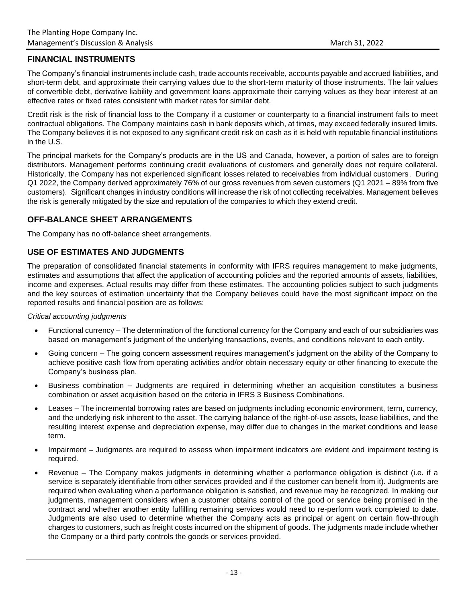# **FINANCIAL INSTRUMENTS**

The Company's financial instruments include cash, trade accounts receivable, accounts payable and accrued liabilities, and short-term debt, and approximate their carrying values due to the short-term maturity of those instruments. The fair values of convertible debt, derivative liability and government loans approximate their carrying values as they bear interest at an effective rates or fixed rates consistent with market rates for similar debt.

Credit risk is the risk of financial loss to the Company if a customer or counterparty to a financial instrument fails to meet contractual obligations. The Company maintains cash in bank deposits which, at times, may exceed federally insured limits. The Company believes it is not exposed to any significant credit risk on cash as it is held with reputable financial institutions in the U.S.

The principal markets for the Company's products are in the US and Canada, however, a portion of sales are to foreign distributors. Management performs continuing credit evaluations of customers and generally does not require collateral. Historically, the Company has not experienced significant losses related to receivables from individual customers. During Q1 2022, the Company derived approximately 76% of our gross revenues from seven customers (Q1 2021 – 89% from five customers). Significant changes in industry conditions will increase the risk of not collecting receivables. Management believes the risk is generally mitigated by the size and reputation of the companies to which they extend credit.

# **OFF-BALANCE SHEET ARRANGEMENTS**

The Company has no off-balance sheet arrangements.

# **USE OF ESTIMATES AND JUDGMENTS**

The preparation of consolidated financial statements in conformity with IFRS requires management to make judgments, estimates and assumptions that affect the application of accounting policies and the reported amounts of assets, liabilities, income and expenses. Actual results may differ from these estimates. The accounting policies subject to such judgments and the key sources of estimation uncertainty that the Company believes could have the most significant impact on the reported results and financial position are as follows:

## *Critical accounting judgments*

- Functional currency The determination of the functional currency for the Company and each of our subsidiaries was based on management's judgment of the underlying transactions, events, and conditions relevant to each entity.
- Going concern The going concern assessment requires management's judgment on the ability of the Company to achieve positive cash flow from operating activities and/or obtain necessary equity or other financing to execute the Company's business plan.
- Business combination Judgments are required in determining whether an acquisition constitutes a business combination or asset acquisition based on the criteria in IFRS 3 Business Combinations.
- Leases The incremental borrowing rates are based on judgments including economic environment, term, currency, and the underlying risk inherent to the asset. The carrying balance of the right-of-use assets, lease liabilities, and the resulting interest expense and depreciation expense, may differ due to changes in the market conditions and lease term.
- Impairment Judgments are required to assess when impairment indicators are evident and impairment testing is required.
- Revenue The Company makes judgments in determining whether a performance obligation is distinct (i.e. if a service is separately identifiable from other services provided and if the customer can benefit from it). Judgments are required when evaluating when a performance obligation is satisfied, and revenue may be recognized. In making our judgments, management considers when a customer obtains control of the good or service being promised in the contract and whether another entity fulfilling remaining services would need to re-perform work completed to date. Judgments are also used to determine whether the Company acts as principal or agent on certain flow-through charges to customers, such as freight costs incurred on the shipment of goods. The judgments made include whether the Company or a third party controls the goods or services provided.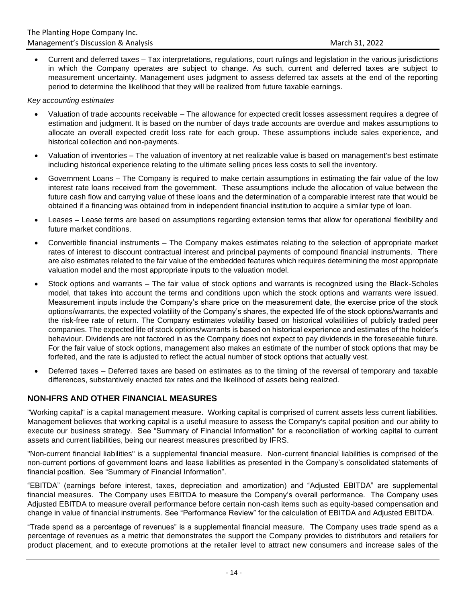• Current and deferred taxes – Tax interpretations, regulations, court rulings and legislation in the various jurisdictions in which the Company operates are subject to change. As such, current and deferred taxes are subject to measurement uncertainty. Management uses judgment to assess deferred tax assets at the end of the reporting period to determine the likelihood that they will be realized from future taxable earnings.

*Key accounting estimates*

- Valuation of trade accounts receivable The allowance for expected credit losses assessment requires a degree of estimation and judgment. It is based on the number of days trade accounts are overdue and makes assumptions to allocate an overall expected credit loss rate for each group. These assumptions include sales experience, and historical collection and non-payments.
- Valuation of inventories The valuation of inventory at net realizable value is based on management's best estimate including historical experience relating to the ultimate selling prices less costs to sell the inventory.
- Government Loans The Company is required to make certain assumptions in estimating the fair value of the low interest rate loans received from the government. These assumptions include the allocation of value between the future cash flow and carrying value of these loans and the determination of a comparable interest rate that would be obtained if a financing was obtained from in independent financial institution to acquire a similar type of loan.
- Leases Lease terms are based on assumptions regarding extension terms that allow for operational flexibility and future market conditions.
- Convertible financial instruments The Company makes estimates relating to the selection of appropriate market rates of interest to discount contractual interest and principal payments of compound financial instruments. There are also estimates related to the fair value of the embedded features which requires determining the most appropriate valuation model and the most appropriate inputs to the valuation model.
- Stock options and warrants The fair value of stock options and warrants is recognized using the Black-Scholes model, that takes into account the terms and conditions upon which the stock options and warrants were issued. Measurement inputs include the Company's share price on the measurement date, the exercise price of the stock options/warrants, the expected volatility of the Company's shares, the expected life of the stock options/warrants and the risk-free rate of return. The Company estimates volatility based on historical volatilities of publicly traded peer companies. The expected life of stock options/warrants is based on historical experience and estimates of the holder's behaviour. Dividends are not factored in as the Company does not expect to pay dividends in the foreseeable future. For the fair value of stock options, management also makes an estimate of the number of stock options that may be forfeited, and the rate is adjusted to reflect the actual number of stock options that actually vest.
- Deferred taxes Deferred taxes are based on estimates as to the timing of the reversal of temporary and taxable differences, substantively enacted tax rates and the likelihood of assets being realized.

# **NON-IFRS AND OTHER FINANCIAL MEASURES**

"Working capital" is a capital management measure. Working capital is comprised of current assets less current liabilities. Management believes that working capital is a useful measure to assess the Company's capital position and our ability to execute our business strategy. See "Summary of Financial Information" for a reconciliation of working capital to current assets and current liabilities, being our nearest measures prescribed by IFRS.

"Non-current financial liabilities" is a supplemental financial measure. Non-current financial liabilities is comprised of the non-current portions of government loans and lease liabilities as presented in the Company's consolidated statements of financial position. See "Summary of Financial Information".

"EBITDA" (earnings before interest, taxes, depreciation and amortization) and "Adjusted EBITDA" are supplemental financial measures. The Company uses EBITDA to measure the Company's overall performance. The Company uses Adjusted EBITDA to measure overall performance before certain non-cash items such as equity-based compensation and change in value of financial instruments. See "Performance Review" for the calculation of EBITDA and Adjusted EBITDA.

"Trade spend as a percentage of revenues" is a supplemental financial measure. The Company uses trade spend as a percentage of revenues as a metric that demonstrates the support the Company provides to distributors and retailers for product placement, and to execute promotions at the retailer level to attract new consumers and increase sales of the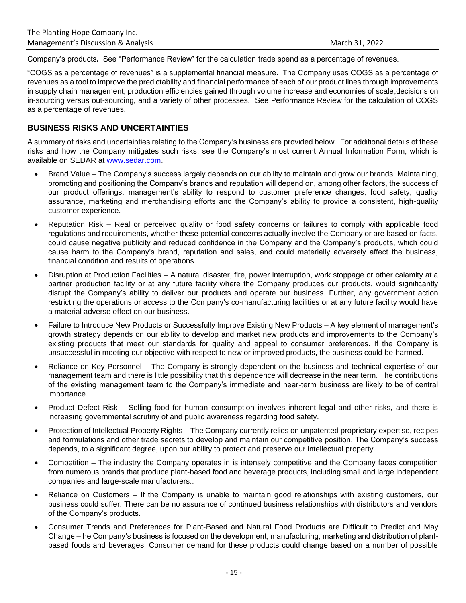Company's products**.** See "Performance Review" for the calculation trade spend as a percentage of revenues.

"COGS as a percentage of revenues" is a supplemental financial measure. The Company uses COGS as a percentage of revenues as a tool to improve the predictability and financial performance of each of our product lines through improvements in supply chain management, production efficiencies gained through volume increase and economies of scale,decisions on in-sourcing versus out-sourcing, and a variety of other processes. See Performance Review for the calculation of COGS as a percentage of revenues.

# **BUSINESS RISKS AND UNCERTAINTIES**

A summary of risks and uncertainties relating to the Company's business are provided below. For additional details of these risks and how the Company mitigates such risks, see the Company's most current Annual Information Form, which is available on SEDAR at [www.sedar.com.](http://www.sedar.com/)

- Brand Value The Company's success largely depends on our ability to maintain and grow our brands. Maintaining, promoting and positioning the Company's brands and reputation will depend on, among other factors, the success of our product offerings, management's ability to respond to customer preference changes, food safety, quality assurance, marketing and merchandising efforts and the Company's ability to provide a consistent, high-quality customer experience.
- Reputation Risk Real or perceived quality or food safety concerns or failures to comply with applicable food regulations and requirements, whether these potential concerns actually involve the Company or are based on facts, could cause negative publicity and reduced confidence in the Company and the Company's products, which could cause harm to the Company's brand, reputation and sales, and could materially adversely affect the business, financial condition and results of operations.
- Disruption at Production Facilities A natural disaster, fire, power interruption, work stoppage or other calamity at a partner production facility or at any future facility where the Company produces our products, would significantly disrupt the Company's ability to deliver our products and operate our business. Further, any government action restricting the operations or access to the Company's co-manufacturing facilities or at any future facility would have a material adverse effect on our business.
- Failure to Introduce New Products or Successfully Improve Existing New Products A key element of management's growth strategy depends on our ability to develop and market new products and improvements to the Company's existing products that meet our standards for quality and appeal to consumer preferences. If the Company is unsuccessful in meeting our objective with respect to new or improved products, the business could be harmed.
- Reliance on Key Personnel The Company is strongly dependent on the business and technical expertise of our management team and there is little possibility that this dependence will decrease in the near term. The contributions of the existing management team to the Company's immediate and near-term business are likely to be of central importance.
- Product Defect Risk Selling food for human consumption involves inherent legal and other risks, and there is increasing governmental scrutiny of and public awareness regarding food safety.
- Protection of Intellectual Property Rights The Company currently relies on unpatented proprietary expertise, recipes and formulations and other trade secrets to develop and maintain our competitive position. The Company's success depends, to a significant degree, upon our ability to protect and preserve our intellectual property.
- Competition The industry the Company operates in is intensely competitive and the Company faces competition from numerous brands that produce plant-based food and beverage products, including small and large independent companies and large-scale manufacturers..
- Reliance on Customers If the Company is unable to maintain good relationships with existing customers, our business could suffer. There can be no assurance of continued business relationships with distributors and vendors of the Company's products.
- Consumer Trends and Preferences for Plant-Based and Natural Food Products are Difficult to Predict and May Change – he Company's business is focused on the development, manufacturing, marketing and distribution of plantbased foods and beverages. Consumer demand for these products could change based on a number of possible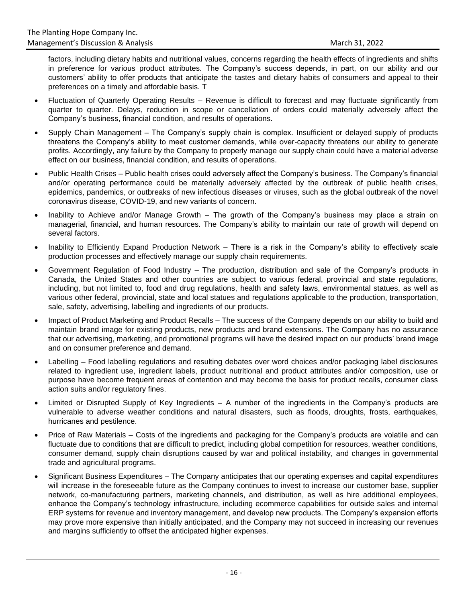factors, including dietary habits and nutritional values, concerns regarding the health effects of ingredients and shifts in preference for various product attributes. The Company's success depends, in part, on our ability and our customers' ability to offer products that anticipate the tastes and dietary habits of consumers and appeal to their preferences on a timely and affordable basis. T

- Fluctuation of Quarterly Operating Results Revenue is difficult to forecast and may fluctuate significantly from quarter to quarter. Delays, reduction in scope or cancellation of orders could materially adversely affect the Company's business, financial condition, and results of operations.
- Supply Chain Management The Company's supply chain is complex. Insufficient or delayed supply of products threatens the Company's ability to meet customer demands, while over-capacity threatens our ability to generate profits. Accordingly, any failure by the Company to properly manage our supply chain could have a material adverse effect on our business, financial condition, and results of operations.
- Public Health Crises Public health crises could adversely affect the Company's business. The Company's financial and/or operating performance could be materially adversely affected by the outbreak of public health crises, epidemics, pandemics, or outbreaks of new infectious diseases or viruses, such as the global outbreak of the novel coronavirus disease, COVID-19, and new variants of concern.
- Inability to Achieve and/or Manage Growth The growth of the Company's business may place a strain on managerial, financial, and human resources. The Company's ability to maintain our rate of growth will depend on several factors.
- Inability to Efficiently Expand Production Network There is a risk in the Company's ability to effectively scale production processes and effectively manage our supply chain requirements.
- Government Regulation of Food Industry The production, distribution and sale of the Company's products in Canada, the United States and other countries are subject to various federal, provincial and state regulations, including, but not limited to, food and drug regulations, health and safety laws, environmental statues, as well as various other federal, provincial, state and local statues and regulations applicable to the production, transportation, sale, safety, advertising, labelling and ingredients of our products.
- Impact of Product Marketing and Product Recalls The success of the Company depends on our ability to build and maintain brand image for existing products, new products and brand extensions. The Company has no assurance that our advertising, marketing, and promotional programs will have the desired impact on our products' brand image and on consumer preference and demand.
- Labelling Food labelling regulations and resulting debates over word choices and/or packaging label disclosures related to ingredient use, ingredient labels, product nutritional and product attributes and/or composition, use or purpose have become frequent areas of contention and may become the basis for product recalls, consumer class action suits and/or regulatory fines.
- Limited or Disrupted Supply of Key Ingredients A number of the ingredients in the Company's products are vulnerable to adverse weather conditions and natural disasters, such as floods, droughts, frosts, earthquakes, hurricanes and pestilence.
- Price of Raw Materials Costs of the ingredients and packaging for the Company's products are volatile and can fluctuate due to conditions that are difficult to predict, including global competition for resources, weather conditions, consumer demand, supply chain disruptions caused by war and political instability, and changes in governmental trade and agricultural programs.
- Significant Business Expenditures The Company anticipates that our operating expenses and capital expenditures will increase in the foreseeable future as the Company continues to invest to increase our customer base, supplier network, co-manufacturing partners, marketing channels, and distribution, as well as hire additional employees, enhance the Company's technology infrastructure, including ecommerce capabilities for outside sales and internal ERP systems for revenue and inventory management, and develop new products. The Company's expansion efforts may prove more expensive than initially anticipated, and the Company may not succeed in increasing our revenues and margins sufficiently to offset the anticipated higher expenses.